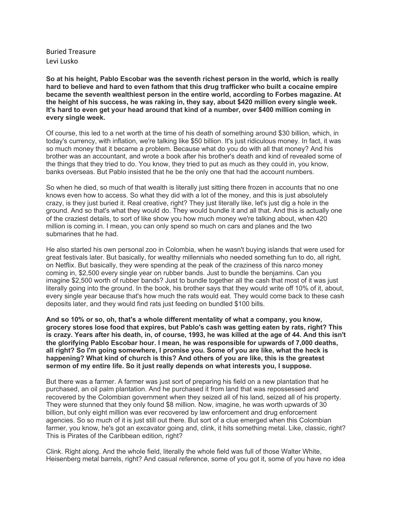Buried Treasure Levi Lusko

**So at his height, Pablo Escobar was the seventh richest person in the world, which is really hard to believe and hard to even fathom that this drug trafficker who built a cocaine empire became the seventh wealthiest person in the entire world, according to Forbes magazine. At the height of his success, he was raking in, they say, about \$420 million every single week. It's hard to even get your head around that kind of a number, over \$400 million coming in every single week.**

Of course, this led to a net worth at the time of his death of something around \$30 billion, which, in today's currency, with inflation, we're talking like \$50 billion. It's just ridiculous money. In fact, it was so much money that it became a problem. Because what do you do with all that money? And his brother was an accountant, and wrote a book after his brother's death and kind of revealed some of the things that they tried to do. You know, they tried to put as much as they could in, you know, banks overseas. But Pablo insisted that he be the only one that had the account numbers.

So when he died, so much of that wealth is literally just sitting there frozen in accounts that no one knows even how to access. So what they did with a lot of the money, and this is just absolutely crazy, is they just buried it. Real creative, right? They just literally like, let's just dig a hole in the ground. And so that's what they would do. They would bundle it and all that. And this is actually one of the craziest details, to sort of like show you how much money we're talking about, when 420 million is coming in. I mean, you can only spend so much on cars and planes and the two submarines that he had.

He also started his own personal zoo in Colombia, when he wasn't buying islands that were used for great festivals later. But basically, for wealthy millennials who needed something fun to do, all right, on Netflix. But basically, they were spending at the peak of the craziness of this narco money coming in, \$2,500 every single year on rubber bands. Just to bundle the benjamins. Can you imagine \$2,500 worth of rubber bands? Just to bundle together all the cash that most of it was just literally going into the ground. In the book, his brother says that they would write off 10% of it, about, every single year because that's how much the rats would eat. They would come back to these cash deposits later, and they would find rats just feeding on bundled \$100 bills.

**And so 10% or so, oh, that's a whole different mentality of what a company, you know, grocery stores lose food that expires, but Pablo's cash was getting eaten by rats, right? This** is crazy. Years after his death, in, of course, 1993, he was killed at the age of 44. And this isn't **the glorifying Pablo Escobar hour. I mean, he was responsible for upwards of 7,000 deaths, all right? So I'm going somewhere, I promise you. Some of you are like, what the heck is happening? What kind of church is this? And others of you are like, this is the greatest sermon of my entire life. So it just really depends on what interests you, I suppose.**

But there was a farmer. A farmer was just sort of preparing his field on a new plantation that he purchased, an oil palm plantation. And he purchased it from land that was repossessed and recovered by the Colombian government when they seized all of his land, seized all of his property. They were stunned that they only found \$8 million. Now, imagine, he was worth upwards of 30 billion, but only eight million was ever recovered by law enforcement and drug enforcement agencies. So so much of it is just still out there. But sort of a clue emerged when this Colombian farmer, you know, he's got an excavator going and, clink, it hits something metal. Like, classic, right? This is Pirates of the Caribbean edition, right?

Clink. Right along. And the whole field, literally the whole field was full of those Walter White, Heisenberg metal barrels, right? And casual reference, some of you got it, some of you have no idea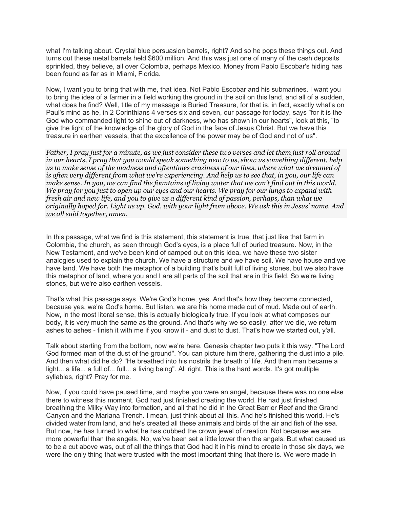what I'm talking about. Crystal blue persuasion barrels, right? And so he pops these things out. And turns out these metal barrels held \$600 million. And this was just one of many of the cash deposits sprinkled, they believe, all over Colombia, perhaps Mexico. Money from Pablo Escobar's hiding has been found as far as in Miami, Florida.

Now, I want you to bring that with me, that idea. Not Pablo Escobar and his submarines. I want you to bring the idea of a farmer in a field working the ground in the soil on this land, and all of a sudden, what does he find? Well, title of my message is Buried Treasure, for that is, in fact, exactly what's on Paul's mind as he, in 2 Corinthians 4 verses six and seven, our passage for today, says "for it is the God who commanded light to shine out of darkness, who has shown in our hearts", look at this, "to give the light of the knowledge of the glory of God in the face of Jesus Christ. But we have this treasure in earthen vessels, that the excellence of the power may be of God and not of us".

*Father, I pray just for a minute, as we just consider these two verses and let them just roll around in our hearts, I pray that you would speak something new to us, show us something different, help us to make sense of the madness and oftentimes craziness of our lives, where what we dreamed of is often very different from what we're experiencing. And help us to see that, in you, our life can make sense. In you, we can find the fountains of living water that we can't find out in this world. We pray for you just to open up our eyes and our hearts. We pray for our lungs to expand with fresh air and new life, and you to give us a different kind of passion, perhaps, than what we originally hoped for. Light us up, God, with your light from above. We ask this in Jesus' name. And we all said together, amen.*

In this passage, what we find is this statement, this statement is true, that just like that farm in Colombia, the church, as seen through God's eyes, is a place full of buried treasure. Now, in the New Testament, and we've been kind of camped out on this idea, we have these two sister analogies used to explain the church. We have a structure and we have soil. We have house and we have land. We have both the metaphor of a building that's built full of living stones, but we also have this metaphor of land, where you and I are all parts of the soil that are in this field. So we're living stones, but we're also earthen vessels.

That's what this passage says. We're God's home, yes. And that's how they become connected, because yes, we're God's home. But listen, we are his home made out of mud. Made out of earth. Now, in the most literal sense, this is actually biologically true. If you look at what composes our body, it is very much the same as the ground. And that's why we so easily, after we die, we return ashes to ashes - finish it with me if you know it - and dust to dust. That's how we started out, y'all.

Talk about starting from the bottom, now we're here. Genesis chapter two puts it this way. "The Lord God formed man of the dust of the ground". You can picture him there, gathering the dust into a pile. And then what did he do? "He breathed into his nostrils the breath of life. And then man became a light... a life... a full of... full... a living being". All right. This is the hard words. It's got multiple syllables, right? Pray for me.

Now, if you could have paused time, and maybe you were an angel, because there was no one else there to witness this moment. God had just finished creating the world. He had just finished breathing the Milky Way into formation, and all that he did in the Great Barrier Reef and the Grand Canyon and the Mariana Trench. I mean, just think about all this. And he's finished this world. He's divided water from land, and he's created all these animals and birds of the air and fish of the sea. But now, he has turned to what he has dubbed the crown jewel of creation. Not because we are more powerful than the angels. No, we've been set a little lower than the angels. But what caused us to be a cut above was, out of all the things that God had it in his mind to create in those six days, we were the only thing that were trusted with the most important thing that there is. We were made in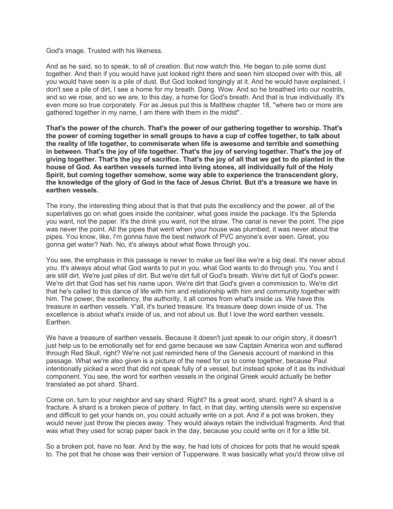God's image. Trusted with his likeness.

And as he said, so to speak, to all of creation. But now watch this. He began to pile some dust together. And then if you would have just looked right there and seen him stooped over with this, all you would have seen is a pile of dust. But God looked longingly at it. And he would have explained, I don't see a pile of dirt, I see a home for my breath. Dang. Wow. And so he breathed into our nostrils, and so we rose, and so we are, to this day, a home for God's breath. And that is true individually. It's even more so true corporately. For as Jesus put this is Matthew chapter 18, "where two or more are gathered together in my name, I am there with them in the midst".

**That's the power of the church. That's the power of our gathering together to worship. That's the power of coming together in small groups to have a cup of coffee together, to talk about the reality of life together, to commiserate when life is awesome and terrible and something in between. That's the joy of life together. That's the joy of serving together. That's the joy of** giving together. That's the joy of sacrifice. That's the joy of all that we get to do planted in the **house of God. As earthen vessels turned into living stones, all individually full of the Holy Spirit, but coming together somehow, some way able to experience the transcendent glory,** the knowledge of the glory of God in the face of Jesus Christ. But it's a treasure we have in **earthen vessels.**

The irony, the interesting thing about that is that that puts the excellency and the power, all of the superlatives go on what goes inside the container, what goes inside the package. It's the Splenda you want, not the paper. It's the drink you want, not the straw. The canal is never the point. The pipe was never the point. All the pipes that went when your house was plumbed, it was never about the pipes. You know, like, I'm gonna have the best network of PVC anyone's ever seen. Great, you gonna get water? Nah. No, it's always about what flows through you.

You see, the emphasis in this passage is never to make us feel like we're a big deal. It's never about you. It's always about what God wants to put in you, what God wants to do through you. You and I are still dirt. We're just piles of dirt. But we're dirt full of God's breath. We're dirt full of God's power. We're dirt that God has set his name upon. We're dirt that God's given a commission to. We're dirt that he's called to this dance of life with him and relationship with him and community together with him. The power, the excellency, the authority, it all comes from what's inside us. We have this treasure in earthen vessels. Y'all, it's buried treasure. It's treasure deep down inside of us. The excellence is about what's inside of us, and not about us. But I love the word earthen vessels. Earthen.

We have a treasure of earthen vessels. Because it doesn't just speak to our origin story, it doesn't just help us to be emotionally set for end game because we saw Captain America won and suffered through Red Skull, right? We're not just reminded here of the Genesis account of mankind in this passage. What we're also given is a picture of the need for us to come together, because Paul intentionally picked a word that did not speak fully of a vessel, but instead spoke of it as its individual component. You see, the word for earthen vessels in the original Greek would actually be better translated as pot shard. Shard.

Come on, turn to your neighbor and say shard. Right? Its a great word, shard, right? A shard is a fracture. A shard is a broken piece of pottery. In fact, in that day, writing utensils were so expensive and difficult to get your hands on, you could actually write on a pot. And if a pot was broken, they would never just throw the pieces away. They would always retain the individual fragments. And that was what they used for scrap paper back in the day, because you could write on it for a little bit.

So a broken pot, have no fear. And by the way, he had lots of choices for pots that he would speak to. The pot that he chose was their version of Tupperware. It was basically what you'd throw olive oil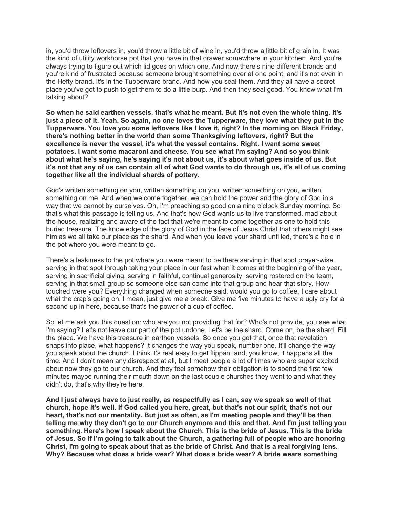in, you'd throw leftovers in, you'd throw a little bit of wine in, you'd throw a little bit of grain in. It was the kind of utility workhorse pot that you have in that drawer somewhere in your kitchen. And you're always trying to figure out which lid goes on which one. And now there's nine different brands and you're kind of frustrated because someone brought something over at one point, and it's not even in the Hefty brand. It's in the Tupperware brand. And how you seal them. And they all have a secret place you've got to push to get them to do a little burp. And then they seal good. You know what I'm talking about?

**So when he said earthen vessels, that's what he meant. But it's not even the whole thing. It's** just a piece of it. Yeah. So again, no one loves the Tupperware, they love what they put in the **Tupperware. You love you some leftovers like I love it, right? In the morning on Black Friday, there's nothing better in the world than some Thanksgiving leftovers, right? But the excellence is never the vessel, it's what the vessel contains. Right. I want some sweet potatoes. I want some macaroni and cheese. You see what I'm saying? And so you think about what he's saying, he's saying it's not about us, it's about what goes inside of us. But** it's not that any of us can contain all of what God wants to do through us, it's all of us coming **together like all the individual shards of pottery.**

God's written something on you, written something on you, written something on you, written something on me. And when we come together, we can hold the power and the glory of God in a way that we cannot by ourselves. Oh, I'm preaching so good on a nine o'clock Sunday morning. So that's what this passage is telling us. And that's how God wants us to live transformed, mad about the house, realizing and aware of the fact that we're meant to come together as one to hold this buried treasure. The knowledge of the glory of God in the face of Jesus Christ that others might see him as we all take our place as the shard. And when you leave your shard unfilled, there's a hole in the pot where you were meant to go.

There's a leakiness to the pot where you were meant to be there serving in that spot prayer-wise, serving in that spot through taking your place in our fast when it comes at the beginning of the year, serving in sacrificial giving, serving in faithful, continual generosity, serving rostered on the team, serving in that small group so someone else can come into that group and hear that story. How touched were you? Everything changed when someone said, would you go to coffee, I care about what the crap's going on, I mean, just give me a break. Give me five minutes to have a ugly cry for a second up in here, because that's the power of a cup of coffee.

So let me ask you this question: who are you not providing that for? Who's not provide, you see what I'm saying? Let's not leave our part of the pot undone. Let's be the shard. Come on, be the shard. Fill the place. We have this treasure in earthen vessels. So once you get that, once that revelation snaps into place, what happens? It changes the way you speak, number one. It'll change the way you speak about the church. I think it's real easy to get flippant and, you know, it happens all the time. And I don't mean any disrespect at all, but I meet people a lot of times who are super excited about now they go to our church. And they feel somehow their obligation is to spend the first few minutes maybe running their mouth down on the last couple churches they went to and what they didn't do, that's why they're here.

And I just always have to just really, as respectfully as I can, say we speak so well of that **church, hope it's well. If God called you here, great, but that's not our spirit, that's not our heart, that's not our mentality. But just as often, as I'm meeting people and they'll be then** telling me why they don't go to our Church anymore and this and that. And I'm just telling you **something. Here's how I speak about the Church. This is the bride of Jesus. This is the bride** of Jesus. So if I'm going to talk about the Church, a gathering full of people who are honoring Christ. I'm going to speak about that as the bride of Christ. And that is a real forgiving lens. **Why? Because what does a bride wear? What does a bride wear? A bride wears something**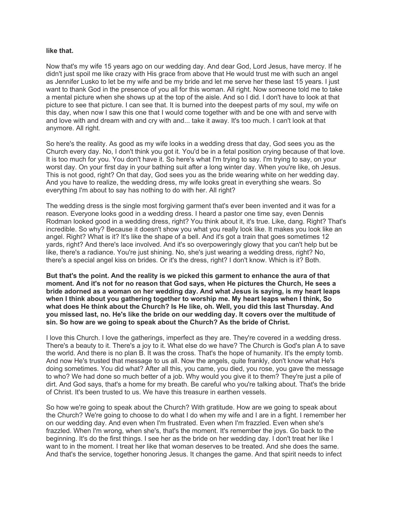## **like that.**

Now that's my wife 15 years ago on our wedding day. And dear God, Lord Jesus, have mercy. If he didn't just spoil me like crazy with His grace from above that He would trust me with such an angel as Jennifer Lusko to let be my wife and be my bride and let me serve her these last 15 years. I just want to thank God in the presence of you all for this woman. All right. Now someone told me to take a mental picture when she shows up at the top of the aisle. And so I did. I don't have to look at that picture to see that picture. I can see that. It is burned into the deepest parts of my soul, my wife on this day, when now I saw this one that I would come together with and be one with and serve with and love with and dream with and cry with and... take it away. It's too much. I can't look at that anymore. All right.

So here's the reality. As good as my wife looks in a wedding dress that day, God sees you as the Church every day. No, I don't think you got it. You'd be in a fetal position crying because of that love. It is too much for you. You don't have it. So here's what I'm trying to say. I'm trying to say, on your worst day. On your first day in your bathing suit after a long winter day. When you're like, oh Jesus. This is not good, right? On that day, God sees you as the bride wearing white on her wedding day. And you have to realize, the wedding dress, my wife looks great in everything she wears. So everything I'm about to say has nothing to do with her. All right?

The wedding dress is the single most forgiving garment that's ever been invented and it was for a reason. Everyone looks good in a wedding dress. I heard a pastor one time say, even Dennis Rodman looked good in a wedding dress, right? You think about it, it's true. Like, dang. Right? That's incredible. So why? Because it doesn't show you what you really look like. It makes you look like an angel. Right? What is it? It's like the shape of a bell. And it's got a train that goes sometimes 12 yards, right? And there's lace involved. And it's so overpoweringly glowy that you can't help but be like, there's a radiance. You're just shining. No, she's just wearing a wedding dress, right? No, there's a special angel kiss on brides. Or it's the dress, right? I don't know. Which is it? Both.

**But that's the point. And the reality is we picked this garment to enhance the aura of that moment. And it's not for no reason that God says, when He pictures the Church, He sees a bride adorned as a woman on her wedding day. And what Jesus is saying, is my heart leaps when I think about you gathering together to worship me. My heart leaps when I think, So what does He think about the Church? Is He like, oh. Well, you did this last Thursday. And you missed last, no. He's like the bride on our wedding day. It covers over the multitude of sin. So how are we going to speak about the Church? As the bride of Christ.**

I love this Church. I love the gatherings, imperfect as they are. They're covered in a wedding dress. There's a beauty to it. There's a joy to it. What else do we have? The Church is God's plan A to save the world. And there is no plan B. It was the cross. That's the hope of humanity. It's the empty tomb. And now He's trusted that message to us all. Now the angels, quite frankly, don't know what He's doing sometimes. You did what? After all this, you came, you died, you rose, you gave the message to who? We had done so much better of a job. Why would you give it to them? They're just a pile of dirt. And God says, that's a home for my breath. Be careful who you're talking about. That's the bride of Christ. It's been trusted to us. We have this treasure in earthen vessels.

So how we're going to speak about the Church? With gratitude. How are we going to speak about the Church? We're going to choose to do what I do when my wife and I are in a fight. I remember her on our wedding day. And even when I'm frustrated. Even when I'm frazzled. Even when she's frazzled. When I'm wrong, when she's, that's the moment. It's remember the joys. Go back to the beginning. It's do the first things. I see her as the bride on her wedding day. I don't treat her like I want to in the moment. I treat her like that woman deserves to be treated. And she does the same. And that's the service, together honoring Jesus. It changes the game. And that spirit needs to infect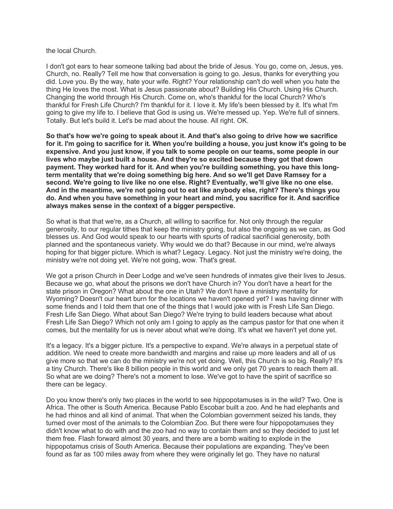the local Church.

I don't got ears to hear someone talking bad about the bride of Jesus. You go, come on, Jesus, yes. Church, no. Really? Tell me how that conversation is going to go. Jesus, thanks for everything you did. Love you. By the way, hate your wife. Right? Your relationship can't do well when you hate the thing He loves the most. What is Jesus passionate about? Building His Church. Using His Church. Changing the world through His Church. Come on, who's thankful for the local Church? Who's thankful for Fresh Life Church? I'm thankful for it. I love it. My life's been blessed by it. It's what I'm going to give my life to. I believe that God is using us. We're messed up. Yep. We're full of sinners. Totally. But let's build it. Let's be mad about the house. All right. OK.

**So that's how we're going to speak about it. And that's also going to drive how we sacrifice** for it. I'm going to sacrifice for it. When you're building a house, you just know it's going to be **expensive. And you just know, if you talk to some people on our teams, some people in our lives who maybe just built a house. And they're so excited because they got that down payment. They worked hard for it. And when you're building something, you have this longterm mentality that we're doing something big here. And so we'll get Dave Ramsey for a second. We're going to live like no one else. Right? Eventually, we'll give like no one else. And in the meantime, we're not going out to eat like anybody else, right? There's things you do. And when you have something in your heart and mind, you sacrifice for it. And sacrifice always makes sense in the context of a bigger perspective.**

So what is that that we're, as a Church, all willing to sacrifice for. Not only through the regular generosity, to our regular tithes that keep the ministry going, but also the ongoing as we can, as God blesses us. And God would speak to our hearts with spurts of radical sacrificial generosity, both planned and the spontaneous variety. Why would we do that? Because in our mind, we're always hoping for that bigger picture. Which is what? Legacy. Legacy. Not just the ministry we're doing, the ministry we're not doing yet. We're not going, wow. That's great.

We got a prison Church in Deer Lodge and we've seen hundreds of inmates give their lives to Jesus. Because we go, what about the prisons we don't have Church in? You don't have a heart for the state prison in Oregon? What about the one in Utah? We don't have a ministry mentality for Wyoming? Doesn't our heart burn for the locations we haven't opened yet? I was having dinner with some friends and I told them that one of the things that I would joke with is Fresh Life San Diego. Fresh Life San Diego. What about San Diego? We're trying to build leaders because what about Fresh Life San Diego? Which not only am I going to apply as the campus pastor for that one when it comes, but the mentality for us is never about what we're doing. It's what we haven't yet done yet.

It's a legacy. It's a bigger picture. It's a perspective to expand. We're always in a perpetual state of addition. We need to create more bandwidth and margins and raise up more leaders and all of us give more so that we can do the ministry we're not yet doing. Well, this Church is so big. Really? It's a tiny Church. There's like 8 billion people in this world and we only get 70 years to reach them all. So what are we doing? There's not a moment to lose. We've got to have the spirit of sacrifice so there can be legacy.

Do you know there's only two places in the world to see hippopotamuses is in the wild? Two. One is Africa. The other is South America. Because Pablo Escobar built a zoo. And he had elephants and he had rhinos and all kind of animal. That when the Colombian government seized his lands, they turned over most of the animals to the Colombian Zoo. But there were four hippopotamuses they didn't know what to do with and the zoo had no way to contain them and so they decided to just let them free. Flash forward almost 30 years, and there are a bomb waiting to explode in the hippopotamus crisis of South America. Because their populations are expanding. They've been found as far as 100 miles away from where they were originally let go. They have no natural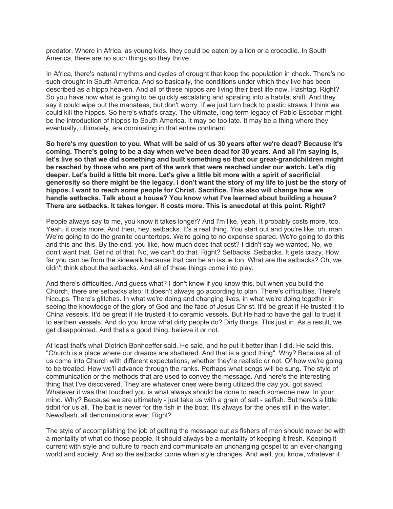predator. Where in Africa, as young kids, they could be eaten by a lion or a crocodile. In South America, there are no such things so they thrive.

In Africa, there's natural rhythms and cycles of drought that keep the population in check. There's no such drought in South America. And so basically, the conditions under which they live has been described as a hippo heaven. And all of these hippos are living their best life now. Hashtag. Right? So you have now what is going to be quickly escalating and spiraling into a habitat shift. And they say it could wipe out the manatees, but don't worry. If we just turn back to plastic straws, I think we could kill the hippos. So here's what's crazy. The ultimate, long-term legacy of Pablo Escobar might be the introduction of hippos to South America. It may be too late. It may be a thing where they eventually, ultimately, are dominating in that entire continent.

So here's my question to you. What will be said of us 30 years after we're dead? Because it's **coming. There's going to be a day when we've been dead for 30 years. And all I'm saying is, let's live so that we did something and built something so that our great-grandchildren might be reached by those who are part of the work that were reached under our watch. Let's dig deeper. Let's build a little bit more. Let's give a little bit more with a spirit of sacrificial** generosity so there might be the legacy. I don't want the story of my life to just be the story of **hippos. I want to reach some people for Christ. Sacrifice. This also will change how we handle setbacks. Talk about a house? You know what I've learned about building a house? There are setbacks. It takes longer. It costs more. This is anecdotal at this point. Right?**

People always say to me, you know it takes longer? And I'm like, yeah. It probably costs more, too. Yeah, it costs more. And then, hey, setbacks. It's a real thing. You start out and you're like, oh, man. We're going to do the granite countertops. We're going to no expense spared. We're going to do this and this and this. By the end, you like, how much does that cost? I didn't say we wanted. No, we don't want that. Get rid of that. No, we can't do that. Right? Setbacks. Setbacks. It gets crazy. How far you can be from the sidewalk because that can be an issue too. What are the setbacks? Oh, we didn't think about the setbacks. And all of these things come into play.

And there's difficulties. And guess what? I don't know if you know this, but when you build the Church, there are setbacks also. It doesn't always go according to plan. There's difficulties. There's hiccups. There's glitches. In what we're doing and changing lives, in what we're doing together in seeing the knowledge of the glory of God and the face of Jesus Christ, It'd be great if He trusted it to China vessels. It'd be great if He trusted it to ceramic vessels. But He had to have the gall to trust it to earthen vessels. And do you know what dirty people do? Dirty things. This just in. As a result, we get disappointed. And that's a good thing, believe it or not.

At least that's what Dietrich Bonhoeffer said. He said, and he put it better than I did. He said this. "Church is a place where our dreams are shattered. And that is a good thing". Why? Because all of us come into Church with different expectations, whether they're realistic or not. Of how we're going to be treated. How we'll advance through the ranks. Perhaps what songs will be sung. The style of communication or the methods that are used to convey the message. And here's the interesting thing that I've discovered. They are whatever ones were being utilized the day you got saved. Whatever it was that touched you is what always should be done to reach someone new. In your mind. Why? Because we are ultimately - just take us with a grain of salt - selfish. But here's a little tidbit for us all. The bait is never for the fish in the boat. It's always for the ones still in the water. Newsflash, all denominations ever. Right?

The style of accomplishing the job of getting the message out as fishers of men should never be with a mentality of what do those people, It should always be a mentality of keeping it fresh. Keeping it current with style and culture to reach and communicate an unchanging gospel to an ever-changing world and society. And so the setbacks come when style changes. And well, you know, whatever it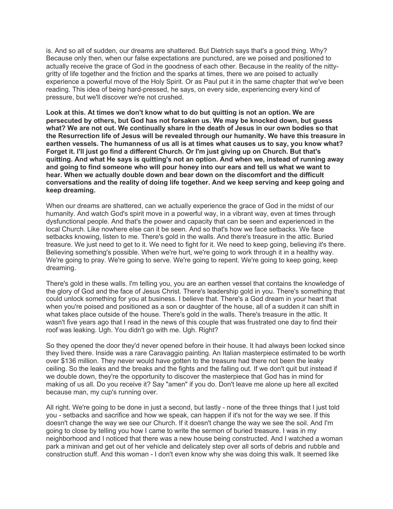is. And so all of sudden, our dreams are shattered. But Dietrich says that's a good thing. Why? Because only then, when our false expectations are punctured, are we poised and positioned to actually receive the grace of God in the goodness of each other. Because in the reality of the nittygritty of life together and the friction and the sparks at times, there we are poised to actually experience a powerful move of the Holy Spirit. Or as Paul put it in the same chapter that we've been reading. This idea of being hard-pressed, he says, on every side, experiencing every kind of pressure, but we'll discover we're not crushed.

**Look at this. At times we don't know what to do but quitting is not an option. We are persecuted by others, but God has not forsaken us. We may be knocked down, but guess what? We are not out. We continually share in the death of Jesus in our own bodies so that the Resurrection life of Jesus will be revealed through our humanity. We have this treasure in earthen vessels. The humanness of us all is at times what causes us to say, you know what? Forget it. I'll just go find a different Church. Or I'm just giving up on Church. But that's quitting. And what He says is quitting's not an option. And when we, instead of running away and going to find someone who will pour honey into our ears and tell us what we want to hear. When we actually double down and bear down on the discomfort and the difficult conversations and the reality of doing life together. And we keep serving and keep going and keep dreaming.**

When our dreams are shattered, can we actually experience the grace of God in the midst of our humanity. And watch God's spirit move in a powerful way, in a vibrant way, even at times through dysfunctional people. And that's the power and capacity that can be seen and experienced in the local Church. Like nowhere else can it be seen. And so that's how we face setbacks. We face setbacks knowing, listen to me. There's gold in the walls. And there's treasure in the attic. Buried treasure. We just need to get to it. We need to fight for it. We need to keep going, believing it's there. Believing something's possible. When we're hurt, we're going to work through it in a healthy way. We're going to pray. We're going to serve. We're going to repent. We're going to keep going, keep dreaming.

There's gold in these walls. I'm telling you, you are an earthen vessel that contains the knowledge of the glory of God and the face of Jesus Christ. There's leadership gold in you. There's something that could unlock something for you at business. I believe that. There's a God dream in your heart that when you're poised and positioned as a son or daughter of the house, all of a sudden it can shift in what takes place outside of the house. There's gold in the walls. There's treasure in the attic. It wasn't five years ago that I read in the news of this couple that was frustrated one day to find their roof was leaking. Ugh. You didn't go with me. Ugh. Right?

So they opened the door they'd never opened before in their house. It had always been locked since they lived there. Inside was a rare Caravaggio painting. An Italian masterpiece estimated to be worth over \$136 million. They never would have gotten to the treasure had there not been the leaky ceiling. So the leaks and the breaks and the fights and the falling out. If we don't quit but instead if we double down, they're the opportunity to discover the masterpiece that God has in mind for making of us all. Do you receive it? Say "amen" if you do. Don't leave me alone up here all excited because man, my cup's running over.

All right. We're going to be done in just a second, but lastly - none of the three things that I just told you - setbacks and sacrifice and how we speak, can happen if it's not for the way we see. If this doesn't change the way we see our Church. If it doesn't change the way we see the soil. And I'm going to close by telling you how I came to write the sermon of buried treasure. I was in my neighborhood and I noticed that there was a new house being constructed. And I watched a woman park a minivan and get out of her vehicle and delicately step over all sorts of debris and rubble and construction stuff. And this woman - I don't even know why she was doing this walk. It seemed like